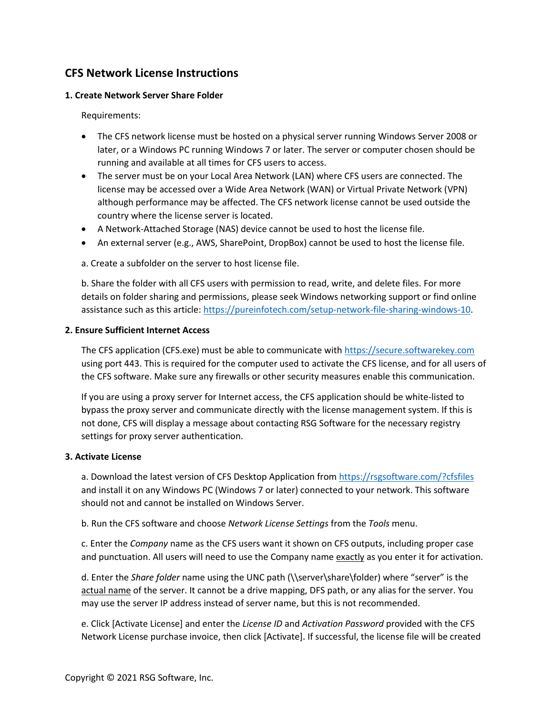# **CFS Network License Instructions**

## <span id="page-0-0"></span>**1. Create Network Server Share Folder**

Requirements:

- The CFS network license must be hosted on a physical server running Windows Server 2008 or later, or a Windows PC running Windows 7 or later. The server or computer chosen should be running and available at all times for CFS users to access.
- The server must be on your Local Area Network (LAN) where CFS users are connected. The license may be accessed over a Wide Area Network (WAN) or Virtual Private Network (VPN) although performance may be affected. The CFS network license cannot be used outside the country where the license server is located.
- A Network-Attached Storage (NAS) device cannot be used to host the license file.
- An external server (e.g., AWS, SharePoint, DropBox) cannot be used to host the license file.

a. Create a subfolder on the server to host license file.

b. Share the folder with all CFS users with permission to read, write, and delete files. For more details on folder sharing and permissions, please seek Windows networking support or find online assistance such as this article: https://pureinfotech.com/setup-network-file-sharing-windows-10.

# <span id="page-0-1"></span>**2. Ensure Sufficient Internet Access**

The CFS application (CFS.exe) must be able to communicate with https://secure.softwarekey.com using port 443. This is required for the computer used to activate the CFS license, and for all users of the CFS software. Make sure any firewalls or other security measures enable this communication.

If you are using a proxy server for Internet access, the CFS application should be white-listed to bypass the proxy server and communicate directly with the license management system. If this is not done, CFS will display a message about contacting RSG Software for the necessary registry settings for proxy server authentication.

## **3. Activate License**

a. Download the latest version of CFS Desktop Application from https://rsgsoftware.com/?cfsfiles and install it on any Windows PC (Windows 7 or later) connected to your network. This software should not and cannot be installed on Windows Server.

b. Run the CFS software and choose *Network License Settings* from the *Tools* menu.

c. Enter the *Company* name as the CFS users want it shown on CFS outputs, including proper case and punctuation. All users will need to use the Company name exactly as you enter it for activation.

d. Enter the *Share folder* name using the UNC path (\\server\share\folder) where "server" is the actual name of the server. It cannot be a drive mapping, DFS path, or any alias for the server. You may use the server IP address instead of server name, but this is not recommended.

e. Click [Activate License] and enter the *License ID* and *Activation Password* provided with the CFS Network License purchase invoice, then click [Activate]. If successful, the license file will be created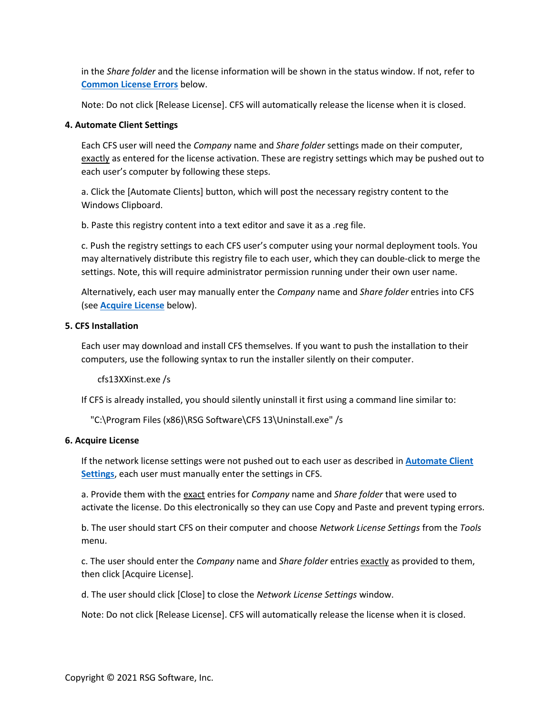in the *Share folder* and the license information will be shown in the status window. If not, refer to **Common License Errors** below.

Note: Do not click [Release License]. CFS will automatically release the license when it is closed.

## **4. Automate Client Settings**

Each CFS user will need the *Company* name and *Share folder* settings made on their computer, exactly as entered for the license activation. These are registry settings which may be pushed out to each user's computer by following these steps.

a. Click the [Automate Clients] button, which will post the necessary registry content to the Windows Clipboard.

b. Paste this registry content into a text editor and save it as a .reg file.

c. Push the registry settings to each CFS user's computer using your normal deployment tools. You may alternatively distribute this registry file to each user, which they can double-click to merge the settings. Note, this will require administrator permission running under their own user name.

Alternatively, each user may manually enter the *Company* name and *Share folder* entries into CFS (see **Acquire License** below).

# **5. CFS Installation**

Each user may download and install CFS themselves. If you want to push the installation to their computers, use the following syntax to run the installer silently on their computer.

cfs13XXinst.exe /s

If CFS is already installed, you should silently uninstall it first using a command line similar to:

"C:\Program Files (x86)\RSG Software\CFS 13\Uninstall.exe" /s

## **6. Acquire License**

If the network license settings were not pushed out to each user as described in **Automate Client Settings**, each user must manually enter the settings in CFS.

a. Provide them with the exact entries for *Company* name and *Share folder* that were used to activate the license. Do this electronically so they can use Copy and Paste and prevent typing errors.

b. The user should start CFS on their computer and choose *Network License Settings* from the *Tools* menu.

c. The user should enter the *Company* name and *Share folder* entries exactly as provided to them, then click [Acquire License].

d. The user should click [Close] to close the *Network License Settings* window.

Note: Do not click [Release License]. CFS will automatically release the license when it is closed.